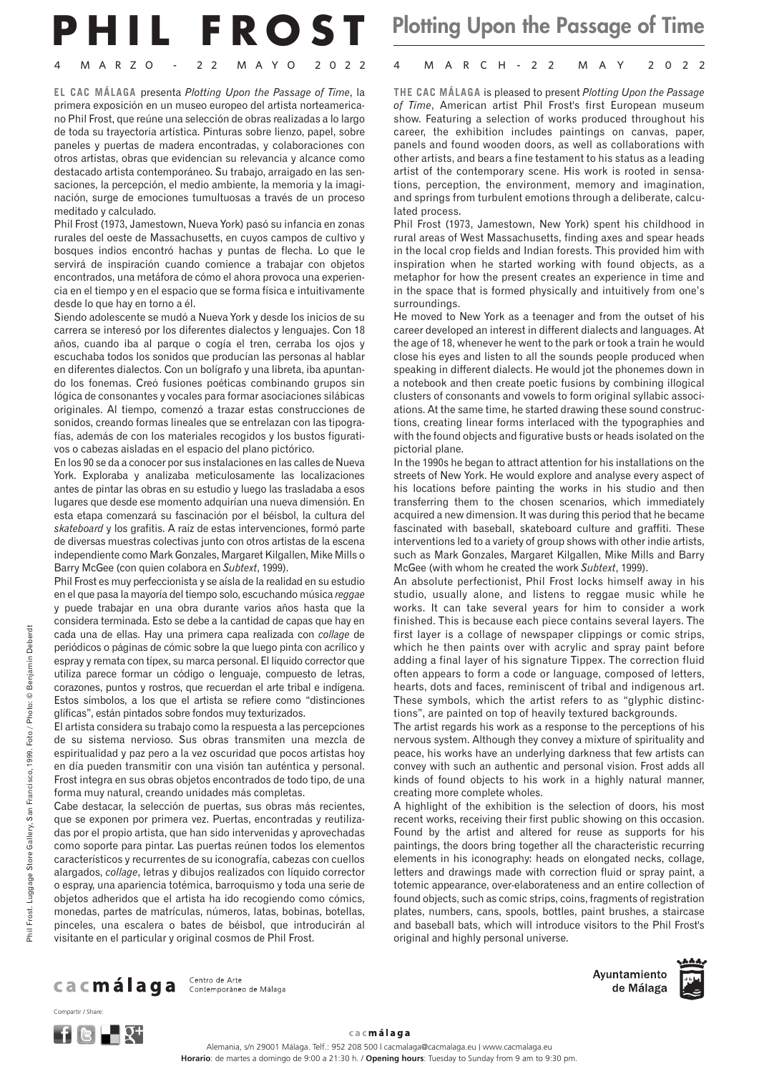## **PHIL FROST** Plotting Upon the Passage of Time

**EL CAC MÁLAGA** presenta *Plotting Upon the Passage of Time*, la primera exposición en un museo europeo del artista norteamericano Phil Frost, que reúne una selección de obras realizadas a lo largo de toda su trayectoria artística. Pinturas sobre lienzo, papel, sobre paneles y puertas de madera encontradas, y colaboraciones con otros artistas, obras que evidencian su relevancia y alcance como destacado artista contemporáneo. Su trabajo, arraigado en las sensaciones, la percepción, el medio ambiente, la memoria y la imaginación, surge de emociones tumultuosas a través de un proceso meditado y calculado.

Phil Frost (1973, Jamestown, Nueva York) pasó su infancia en zonas rurales del oeste de Massachusetts, en cuyos campos de cultivo y bosques indios encontró hachas y puntas de flecha. Lo que le servirá de inspiración cuando comience a trabajar con objetos encontrados, una metáfora de cómo el ahora provoca una experiencia en el tiempo y en el espacio que se forma física e intuitivamente desde lo que hay en torno a él.

Siendo adolescente se mudó a Nueva York y desde los inicios de su carrera se interesó por los diferentes dialectos y lenguajes. Con 18 años, cuando iba al parque o cogía el tren, cerraba los ojos y escuchaba todos los sonidos que producían las personas al hablar en diferentes dialectos. Con un bolígrafo y una libreta, iba apuntando los fonemas. Creó fusiones poéticas combinando grupos sin lógica de consonantes y vocales para formar asociaciones silábicas originales. Al tiempo, comenzó a trazar estas construcciones de sonidos, creando formas lineales que se entrelazan con las tipografías, además de con los materiales recogidos y los bustos figurativos o cabezas aisladas en el espacio del plano pictórico.

En los 90 se da a conocer por sus instalaciones en las calles de Nueva York. Exploraba y analizaba meticulosamente las localizaciones antes de pintar las obras en su estudio y luego las trasladaba a esos lugares que desde ese momento adquirían una nueva dimensión. En esta etapa comenzará su fascinación por el béisbol, la cultura del *skateboard* y los grafitis. A raíz de estas intervenciones, formó parte de diversas muestras colectivas junto con otros artistas de la escena independiente como Mark Gonzales, Margaret Kilgallen, Mike Mills o Barry McGee (con quien colabora en *Subtext*, 1999).

Phil Frost es muy perfeccionista y se aísla de la realidad en su estudio en el que pasa la mayoría del tiempo solo, escuchando música *reggae* y puede trabajar en una obra durante varios años hasta que la considera terminada. Esto se debe a la cantidad de capas que hay en cada una de ellas. Hay una primera capa realizada con *collage* de periódicos o páginas de cómic sobre la que luego pinta con acrílico y espray y remata con típex, su marca personal. El líquido corrector que utiliza parece formar un código o lenguaje, compuesto de letras, corazones, puntos y rostros, que recuerdan el arte tribal e indígena. Estos símbolos, a los que el artista se refiere como "distinciones glíficas", están pintados sobre fondos muy texturizados.

El artista considera su trabajo como la respuesta a las percepciones de su sistema nervioso. Sus obras transmiten una mezcla de espiritualidad y paz pero a la vez oscuridad que pocos artistas hoy en día pueden transmitir con una visión tan auténtica y personal. Frost integra en sus obras objetos encontrados de todo tipo, de una forma muy natural, creando unidades más completas.

Cabe destacar, la selección de puertas, sus obras más recientes, que se exponen por primera vez. Puertas, encontradas y reutilizadas por el propio artista, que han sido intervenidas y aprovechadas como soporte para pintar. Las puertas reúnen todos los elementos característicos y recurrentes de su iconografía, cabezas con cuellos alargados, *collage*, letras y dibujos realizados con líquido corrector o espray, una apariencia totémica, barroquismo y toda una serie de objetos adheridos que el artista ha ido recogiendo como cómics, monedas, partes de matrículas, números, latas, bobinas, botellas, pinceles, una escalera o bates de béisbol, que introducirán al visitante en el particular y original cosmos de Phil Frost.

## 4 MARZO - 22 MAYO 2022 4 MARCH-22 MAY 2022

**THE CAC MÁLAGA** is pleased to present *Plotting Upon the Passage of Time*, American artist Phil Frost's first European museum show. Featuring a selection of works produced throughout his career, the exhibition includes paintings on canvas, paper, panels and found wooden doors, as well as collaborations with other artists, and bears a fine testament to his status as a leading artist of the contemporary scene. His work is rooted in sensations, perception, the environment, memory and imagination, and springs from turbulent emotions through a deliberate, calculated process.

Phil Frost (1973, Jamestown, New York) spent his childhood in rural areas of West Massachusetts, finding axes and spear heads in the local crop fields and Indian forests. This provided him with inspiration when he started working with found objects, as a metaphor for how the present creates an experience in time and in the space that is formed physically and intuitively from one's surroundings.

He moved to New York as a teenager and from the outset of his career developed an interest in different dialects and languages. At the age of 18, whenever he went to the park or took a train he would close his eyes and listen to all the sounds people produced when speaking in different dialects. He would jot the phonemes down in a notebook and then create poetic fusions by combining illogical clusters of consonants and vowels to form original syllabic associations. At the same time, he started drawing these sound constructions, creating linear forms interlaced with the typographies and with the found objects and figurative busts or heads isolated on the pictorial plane.

In the 1990s he began to attract attention for his installations on the streets of New York. He would explore and analyse every aspect of his locations before painting the works in his studio and then transferring them to the chosen scenarios, which immediately acquired a new dimension. It was during this period that he became fascinated with baseball, skateboard culture and graffiti. These interventions led to a variety of group shows with other indie artists, such as Mark Gonzales, Margaret Kilgallen, Mike Mills and Barry McGee (with whom he created the work *Subtext*, 1999).

An absolute perfectionist, Phil Frost locks himself away in his studio, usually alone, and listens to reggae music while he works. It can take several years for him to consider a work finished. This is because each piece contains several layers. The first layer is a collage of newspaper clippings or comic strips, which he then paints over with acrylic and spray paint before adding a final layer of his signature Tippex. The correction fluid often appears to form a code or language, composed of letters, hearts, dots and faces, reminiscent of tribal and indigenous art. These symbols, which the artist refers to as "glyphic distinctions", are painted on top of heavily textured backgrounds.

The artist regards his work as a response to the perceptions of his nervous system. Although they convey a mixture of spirituality and peace, his works have an underlying darkness that few artists can convey with such an authentic and personal vision. Frost adds all kinds of found objects to his work in a highly natural manner, creating more complete wholes.

A highlight of the exhibition is the selection of doors, his most recent works, receiving their first public showing on this occasion. Found by the artist and altered for reuse as supports for his paintings, the doors bring together all the characteristic recurring elements in his iconography: heads on elongated necks, collage, letters and drawings made with correction fluid or spray paint, a totemic appearance, over-elaborateness and an entire collection of found objects, such as comic strips, coins, fragments of registration plates, numbers, cans, spools, bottles, paint brushes, a staircase and baseball bats, which will introduce visitors to the Phil Frost's original and highly personal universe.

Ca Cmálaga Contemporáneo de Málaga

Ayuntamiento de Málaga





Compartir / Share:

cac**málaga** 

Alemania, s/n 29001 Málaga. Telf.: 952 208 500 | cacmalaga@cacmalaga.eu | www.cacmalaga.eu **Horario**: de martes a domingo de 9:00 a 21:30 h. / **Opening hours**: Tuesday to Sunday from 9 am to 9:30 pm.